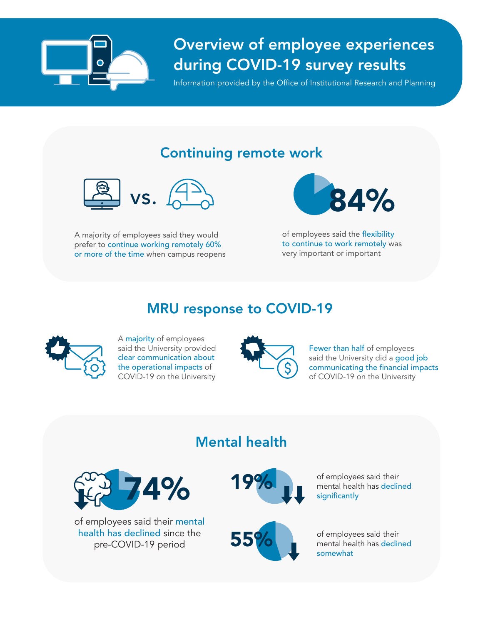

# Overview of employee experiences during COVID-19 survey results

Information provided by the Office of Institutional Research and Planning

# Continuing remote work



A majority of employees said they would prefer to continue working remotely 60% or more of the time when campus reopens



of employees said the flexibility to continue to work remotely was very important or important

### MRU response to COVID-19



A majority of employees said the University provided clear communication about the operational impacts of COVID-19 on the University



Fewer than half of employees said the University did a good job communicating the financial impacts of COVID-19 on the University

### Mental health



of employees said their mental health has declined since the pre-COVID-19 period





of employees said their mental health has declined significantly

of employees said their mental health has declined somewhat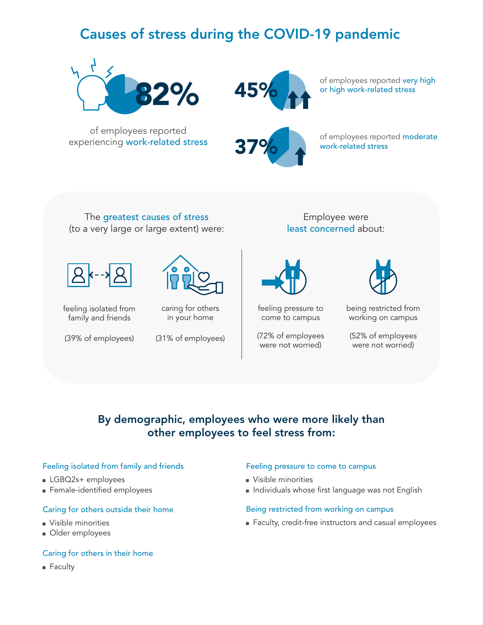## Causes of stress during the COVID-19 pandemic





of employees reported very high or high work-related stress

of employees reported experiencing work-related stress



of employees reported moderate work-related stress

The greatest causes of stress (to a very large or large extent) were:

feeling isolated from family and friends



caring for others in your home

Employee were least concerned about:



feeling pressure to come to campus

(39% of employees) (72% of employees were not worried) (31% of employees) (52% of employees



being restricted from working on campus

were not worried)

### By demographic, employees who were more likely than other employees to feel stress from:

#### Feeling isolated from family and friends

- LGBQ2s+ employees
- Female-identified employees

#### Caring for others outside their home

- Visible minorities
- Older employees

#### Caring for others in their home

■ Faculty

#### Feeling pressure to come to campus

- Visible minorities
- Individuals whose first language was not English

#### Being restricted from working on campus

■ Faculty, credit-free instructors and casual employees